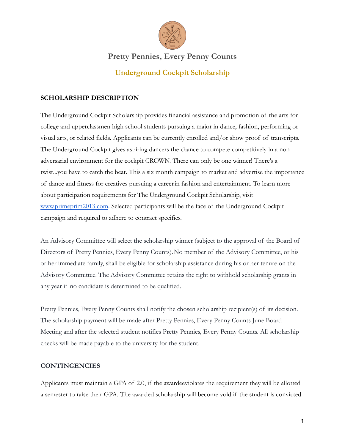

# **Pretty Pennies, Every Penny Counts**

## **Underground Cockpit Scholarship**

#### **SCHOLARSHIP DESCRIPTION**

The Underground Cockpit Scholarship provides financial assistance and promotion of the arts for college and upperclassmen high school students pursuing a major in dance, fashion, performing or visual arts, or related fields. Applicants can be currently enrolled and/or show proof of transcripts. The Underground Cockpit gives aspiring dancers the chance to compete competitively in a non adversarial environment for the cockpit CROWN. There can only be one winner! There's a twist...you have to catch the beat. This a six month campaign to market and advertise the importance of dance and fitness for creatives pursuing a careerin fashion and entertainment. To learn more about participation requirements for The Underground Cockpit Scholarship, visit [www.primeprim2013.com](http://www.primeprim2013.com). Selected participants will be the face of the Underground Cockpit campaign and required to adhere to contract specifics.

An Advisory Committee will select the scholarship winner (subject to the approval of the Board of Directors of Pretty Pennies, Every Penny Counts).No member of the Advisory Committee, or his or her immediate family, shall be eligible for scholarship assistance during his or her tenure on the Advisory Committee. The Advisory Committee retains the right to withhold scholarship grants in any year if no candidate is determined to be qualified.

Pretty Pennies, Every Penny Counts shall notify the chosen scholarship recipient(s) of its decision. The scholarship payment will be made after Pretty Pennies, Every Penny Counts June Board Meeting and after the selected student notifies Pretty Pennies, Every Penny Counts. All scholarship checks will be made payable to the university for the student.

#### **CONTINGENCIES**

Applicants must maintain a GPA of 2.0, if the awardeeviolates the requirement they will be allotted a semester to raise their GPA. The awarded scholarship will become void if the student is convicted